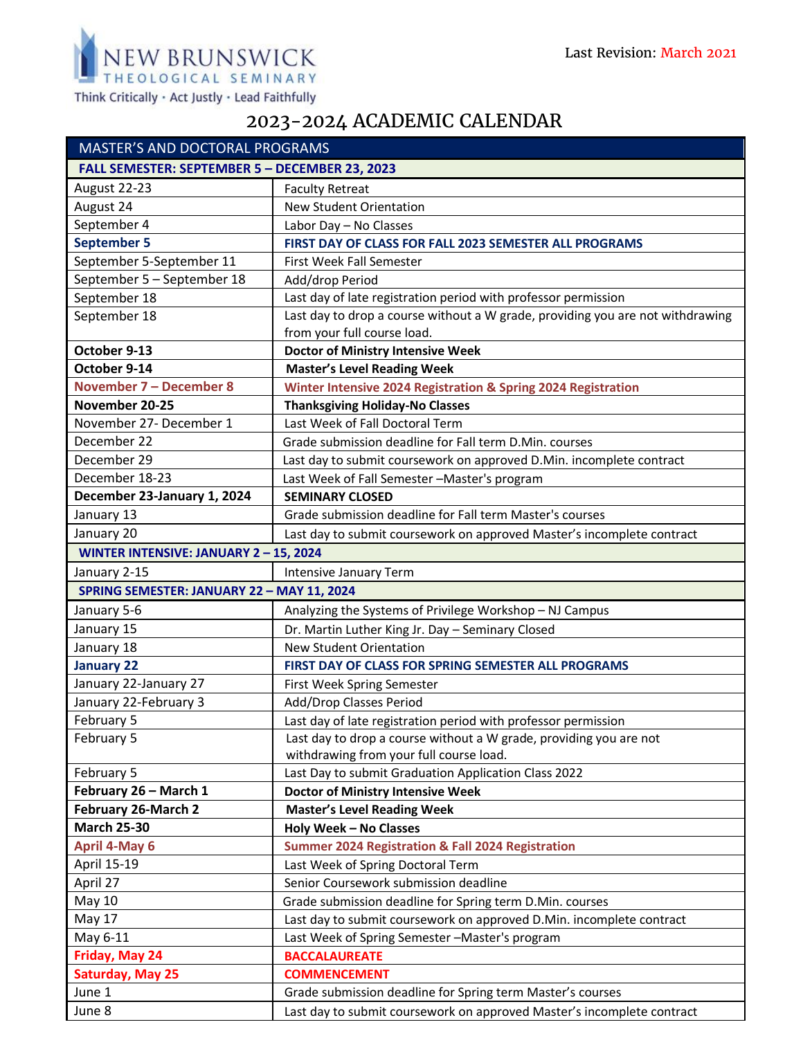

Think Critically · Act Justly · Lead Faithfully

## 2023-2024 ACADEMIC CALENDAR

|                                                | <b>MASTER'S AND DOCTORAL PROGRAMS</b>                                          |  |
|------------------------------------------------|--------------------------------------------------------------------------------|--|
| FALL SEMESTER: SEPTEMBER 5 - DECEMBER 23, 2023 |                                                                                |  |
| August 22-23                                   | <b>Faculty Retreat</b>                                                         |  |
| August 24                                      | <b>New Student Orientation</b>                                                 |  |
| September 4                                    | Labor Day - No Classes                                                         |  |
| <b>September 5</b>                             | FIRST DAY OF CLASS FOR FALL 2023 SEMESTER ALL PROGRAMS                         |  |
| September 5-September 11                       | First Week Fall Semester                                                       |  |
| September 5 - September 18                     | Add/drop Period                                                                |  |
| September 18                                   | Last day of late registration period with professor permission                 |  |
| September 18                                   | Last day to drop a course without a W grade, providing you are not withdrawing |  |
|                                                | from your full course load.                                                    |  |
| October 9-13                                   | <b>Doctor of Ministry Intensive Week</b>                                       |  |
| October 9-14                                   | <b>Master's Level Reading Week</b>                                             |  |
| <b>November 7 - December 8</b>                 | Winter Intensive 2024 Registration & Spring 2024 Registration                  |  |
| November 20-25                                 | <b>Thanksgiving Holiday-No Classes</b>                                         |  |
| November 27- December 1                        | Last Week of Fall Doctoral Term                                                |  |
| December 22                                    | Grade submission deadline for Fall term D.Min. courses                         |  |
| December 29                                    | Last day to submit coursework on approved D.Min. incomplete contract           |  |
| December 18-23                                 | Last Week of Fall Semester -Master's program                                   |  |
| December 23-January 1, 2024                    | <b>SEMINARY CLOSED</b>                                                         |  |
| January 13                                     | Grade submission deadline for Fall term Master's courses                       |  |
| January 20                                     | Last day to submit coursework on approved Master's incomplete contract         |  |
| WINTER INTENSIVE: JANUARY 2-15, 2024           |                                                                                |  |
| January 2-15                                   | Intensive January Term                                                         |  |
| SPRING SEMESTER: JANUARY 22 - MAY 11, 2024     |                                                                                |  |
| January 5-6                                    | Analyzing the Systems of Privilege Workshop - NJ Campus                        |  |
| January 15                                     | Dr. Martin Luther King Jr. Day - Seminary Closed                               |  |
| January 18                                     | <b>New Student Orientation</b>                                                 |  |
| <b>January 22</b>                              | FIRST DAY OF CLASS FOR SPRING SEMESTER ALL PROGRAMS                            |  |
| January 22-January 27                          | First Week Spring Semester                                                     |  |
| January 22-February 3                          | Add/Drop Classes Period                                                        |  |
| February 5                                     | Last day of late registration period with professor permission                 |  |
| February 5                                     | Last day to drop a course without a W grade, providing you are not             |  |
|                                                | withdrawing from your full course load.                                        |  |
| February 5                                     | Last Day to submit Graduation Application Class 2022                           |  |
| February 26 - March 1                          | <b>Doctor of Ministry Intensive Week</b>                                       |  |
| February 26-March 2                            | <b>Master's Level Reading Week</b>                                             |  |
| <b>March 25-30</b>                             | <b>Holy Week - No Classes</b>                                                  |  |
| <b>April 4-May 6</b>                           | <b>Summer 2024 Registration &amp; Fall 2024 Registration</b>                   |  |
| April 15-19                                    | Last Week of Spring Doctoral Term                                              |  |
| April 27                                       | Senior Coursework submission deadline                                          |  |
| <b>May 10</b>                                  | Grade submission deadline for Spring term D.Min. courses                       |  |
| May 17                                         | Last day to submit coursework on approved D.Min. incomplete contract           |  |
| May 6-11                                       | Last Week of Spring Semester -Master's program                                 |  |
| Friday, May 24                                 | <b>BACCALAUREATE</b>                                                           |  |
| <b>Saturday, May 25</b>                        | <b>COMMENCEMENT</b>                                                            |  |
| June 1                                         | Grade submission deadline for Spring term Master's courses                     |  |
| June 8                                         | Last day to submit coursework on approved Master's incomplete contract         |  |